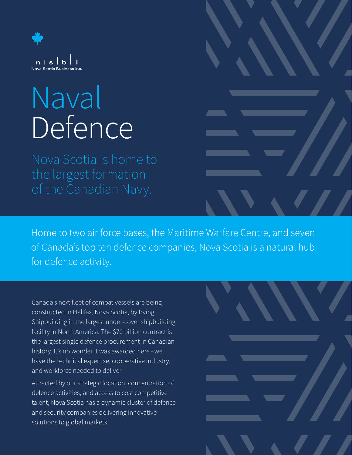

## Naval Defence

Nova Scotia is home to the largest formation

Home to two air force bases, the Maritime Warfare Centre, and seven of Canada's top ten defence companies, Nova Scotia is a natural hub for defence activity.

Canada's next fleet of combat vessels are being constructed in Halifax, Nova Scotia, by Irving Shipbuilding in the largest under-cover shipbuilding facility in North America. The \$70 billion contract is the largest single defence procurement in Canadian history. It's no wonder it was awarded here - we have the technical expertise, cooperative industry, and workforce needed to deliver.

Attracted by our strategic location, concentration of defence activities, and access to cost competitive talent, Nova Scotia has a dynamic cluster of defence and security companies delivering innovative solutions to global markets.